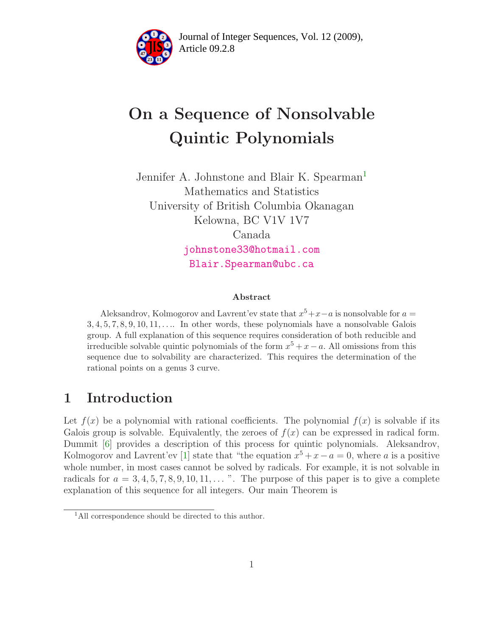

Article 09.2.8 **<sup>2</sup>** Journal of Integer Sequences, Vol. 12 (2009),

# On a Sequence of Nonsolvable Quintic Polynomials

Jennifer A. Johnstone and Blair K. Spearman<sup>[1](#page-0-0)</sup> Mathematics and Statistics University of British Columbia Okanagan Kelowna, BC V1V 1V7 Canada [johnstone33@hotmail.com](mailto:johnstone33@hotmail.com) [Blair.Spearman@ubc.ca](mailto:Blair.Spearman@ubc.ca)

#### Abstract

Aleksandrov, Kolmogorov and Lavrent'ev state that  $x^5 + x - a$  is nonsolvable for  $a =$  $3, 4, 5, 7, 8, 9, 10, 11, \ldots$  In other words, these polynomials have a nonsolvable Galois group. A full explanation of this sequence requires consideration of both reducible and irreducible solvable quintic polynomials of the form  $x^5 + x - a$ . All omissions from this sequence due to solvability are characterized. This requires the determination of the rational points on a genus 3 curve.

#### 1 Introduction

Let  $f(x)$  be a polynomial with rational coefficients. The polynomial  $f(x)$  is solvable if its Galois group is solvable. Equivalently, the zeroes of  $f(x)$  can be expressed in radical form. Dummit [\[6\]](#page-4-0) provides a description of this process for quintic polynomials. Aleksandrov, Kolmogorov and Lavrent'ev [\[1\]](#page-4-1) state that "the equation  $x^5 + x - a = 0$ , where a is a positive whole number, in most cases cannot be solved by radicals. For example, it is not solvable in radicals for  $a = 3, 4, 5, 7, 8, 9, 10, 11, \ldots$  ". The purpose of this paper is to give a complete explanation of this sequence for all integers. Our main Theorem is

<span id="page-0-1"></span><span id="page-0-0"></span><sup>&</sup>lt;sup>1</sup>All correspondence should be directed to this author.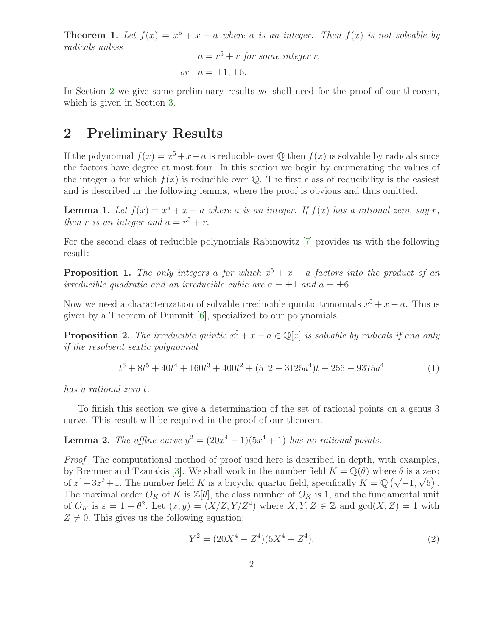**Theorem 1.** Let  $f(x) = x^5 + x - a$  where a is an integer. Then  $f(x)$  is not solvable by radicals unless

$$
a = r5 + r
$$
 for some integer r,  
or 
$$
a = \pm 1, \pm 6.
$$

In Section [2](#page-1-0) we give some preliminary results we shall need for the proof of our theorem, which is given in Section [3.](#page-3-0)

### <span id="page-1-0"></span>2 Preliminary Results

If the polynomial  $f(x) = x^5 + x - a$  is reducible over Q then  $f(x)$  is solvable by radicals since the factors have degree at most four. In this section we begin by enumerating the values of the integer a for which  $f(x)$  is reducible over  $\mathbb{Q}$ . The first class of reducibility is the easiest and is described in the following lemma, where the proof is obvious and thus omitted.

<span id="page-1-1"></span>**Lemma 1.** Let  $f(x) = x^5 + x - a$  where a is an integer. If  $f(x)$  has a rational zero, say r, then r is an integer and  $a = r^5 + r$ .

<span id="page-1-2"></span>For the second class of reducible polynomials Rabinowitz [\[7\]](#page-4-2) provides us with the following result:

**Proposition 1.** The only integers a for which  $x^5 + x - a$  factors into the product of an irreducible quadratic and an irreducible cubic are  $a = \pm 1$  and  $a = \pm 6$ .

<span id="page-1-3"></span>Now we need a characterization of solvable irreducible quintic trinomials  $x^5 + x - a$ . This is given by a Theorem of Dummit [\[6\]](#page-4-0), specialized to our polynomials.

**Proposition 2.** The irreducible quintic  $x^5 + x - a \in \mathbb{Q}[x]$  is solvable by radicals if and only if the resolvent sextic polynomial

$$
t^{6} + 8t^{5} + 40t^{4} + 160t^{3} + 400t^{2} + (512 - 3125a^{4})t + 256 - 9375a^{4}
$$
 (1)

has a rational zero t.

<span id="page-1-4"></span>To finish this section we give a determination of the set of rational points on a genus 3 curve. This result will be required in the proof of our theorem.

**Lemma 2.** The affine curve  $y^2 = (20x^4 - 1)(5x^4 + 1)$  has no rational points.

Proof. The computational method of proof used here is described in depth, with examples, by Bremner and Tzanakis [\[3\]](#page-4-3). We shall work in the number field  $K = \mathbb{Q}(\theta)$  where  $\theta$  is a zero of  $z^4 + 3z^2 + 1$ . The number field K is a bicyclic quartic field, specifically  $K = \mathbb{Q}(\sqrt{-1}, \sqrt{5})$ . The maximal order  $O_K$  of K is  $\mathbb{Z}[\theta]$ , the class number of  $O_K$  is 1, and the fundamental unit of  $O_K$  is  $\varepsilon = 1 + \theta^2$ . Let  $(x, y) = (X/Z, Y/Z^4)$  where  $X, Y, Z \in \mathbb{Z}$  and  $gcd(X, Z) = 1$  with  $Z \neq 0$ . This gives us the following equation:

$$
Y^2 = (20X^4 - Z^4)(5X^4 + Z^4). \tag{2}
$$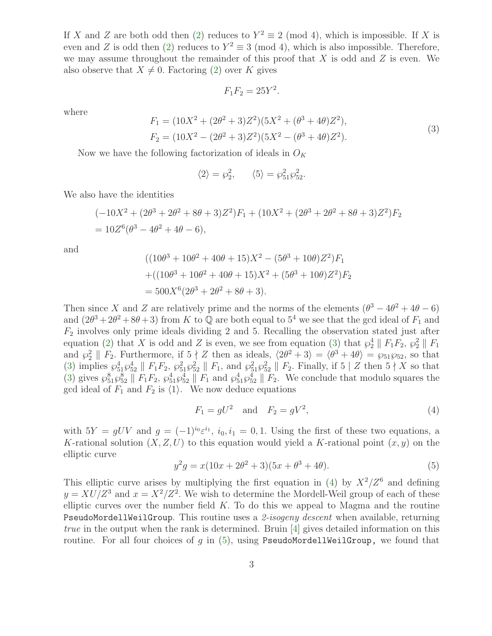If X and Z are both odd then [\(2\)](#page-3-1) reduces to  $Y^2 \equiv 2 \pmod{4}$ , which is impossible. If X is even and Z is odd then [\(2\)](#page-3-1) reduces to  $Y^2 \equiv 3 \pmod{4}$ , which is also impossible. Therefore, we may assume throughout the remainder of this proof that  $X$  is odd and  $Z$  is even. We also observe that  $X \neq 0$ . Factoring [\(2\)](#page-3-1) over K gives

$$
F_1F_2=25Y^2.
$$

where

$$
F_1 = (10X^2 + (2\theta^2 + 3)Z^2)(5X^2 + (\theta^3 + 4\theta)Z^2),
$$
  
\n
$$
F_2 = (10X^2 - (2\theta^2 + 3)Z^2)(5X^2 - (\theta^3 + 4\theta)Z^2).
$$
\n(3)

Now we have the following factorization of ideals in  $O_K$ 

$$
\langle 2 \rangle = \wp_2^2, \qquad \langle 5 \rangle = \wp_{51}^2 \wp_{52}^2.
$$

We also have the identities

$$
(-10X2 + (2\theta3 + 2\theta2 + 8\theta + 3)Z2)F1 + (10X2 + (2\theta3 + 2\theta2 + 8\theta + 3)Z2)F2
$$
  
= 10Z<sup>6</sup>( $\theta$ <sup>3</sup> - 4 $\theta$ <sup>2</sup> + 4 $\theta$  - 6),

and

$$
((10\theta^3 + 10\theta^2 + 40\theta + 15)X^2 - (5\theta^3 + 10\theta)Z^2)F_1
$$
  
+
$$
+((10\theta^3 + 10\theta^2 + 40\theta + 15)X^2 + (5\theta^3 + 10\theta)Z^2)F_2
$$
  
= 
$$
500X^6(2\theta^3 + 2\theta^2 + 8\theta + 3).
$$

Then since X and Z are relatively prime and the norms of the elements  $(\theta^3 - 4\theta^2 + 4\theta - 6)$ and  $(2\theta^3 + 2\theta^2 + 8\theta + 3)$  from K to Q are both equal to 5<sup>4</sup> we see that the gcd ideal of  $F_1$  and  $F_2$  involves only prime ideals dividing 2 and 5. Recalling the observation stated just after equation [\(2\)](#page-3-1) that X is odd and Z is even, we see from equation [\(3\)](#page-3-1) that  $\wp_2^4 \parallel F_1F_2$ ,  $\wp_2^2 \parallel F_1$ and  $\wp_2^2 \parallel F_2$ . Furthermore, if  $5 \nmid Z$  then as ideals,  $\langle 2\theta^2 + 3 \rangle = \langle \theta^3 + 4\theta \rangle = \wp_{51}\wp_{52}$ , so that [\(3\)](#page-3-1) implies  $\wp_{51}^4 \wp_{52}^4 \parallel F_1F_2$ ,  $\wp_{51}^2 \wp_{52}^2 \parallel F_1$ , and  $\wp_{51}^2 \wp_{52}^2 \parallel F_2$ . Finally, if 5 | Z then 5 | X so that [\(3\)](#page-3-1) gives  $\wp_{51}^8 \wp_{52}^8 \parallel F_1F_2$ ,  $\wp_{51}^4 \wp_{52}^4 \parallel F_1$  and  $\wp_{51}^4 \wp_{52}^4 \parallel F_2$ . We conclude that modulo squares the gcd ideal of  $F_1$  and  $F_2$  is  $\langle 1 \rangle$ . We now deduce equations

$$
F_1 = gU^2
$$
 and  $F_2 = gV^2$ , (4)

with  $5Y = gUV$  and  $g = (-1)^{i_0} \varepsilon^{i_1}$ ,  $i_0, i_1 = 0, 1$ . Using the first of these two equations, a K-rational solution  $(X, Z, U)$  to this equation would yield a K-rational point  $(x, y)$  on the elliptic curve

$$
y^2g = x(10x + 2\theta^2 + 3)(5x + \theta^3 + 4\theta). \tag{5}
$$

This elliptic curve arises by multiplying the first equation in [\(4\)](#page-3-1) by  $X^2/Z^6$  and defining  $y = XU/Z^3$  and  $x = X^2/Z^2$ . We wish to determine the Mordell-Weil group of each of these elliptic curves over the number field  $K$ . To do this we appeal to Magma and the routine PseudoMordellWeilGroup. This routine uses a 2-isogeny descent when available, returning *true* in the output when the rank is determined. Bruin  $[4]$  gives detailed information on this routine. For all four choices of q in  $(5)$ , using PseudoMordellWeilGroup, we found that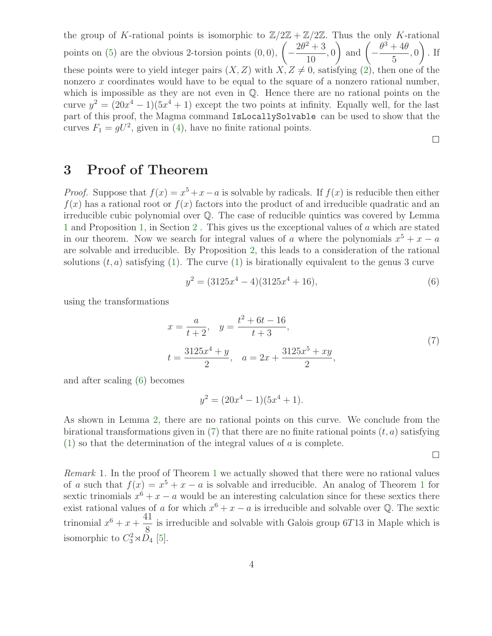the group of K-rational points is isomorphic to  $\mathbb{Z}/2\mathbb{Z} + \mathbb{Z}/2\mathbb{Z}$ . Thus the only K-rational points on  $(5)$  are the obvious 2-torsion points  $(0, 0)$ ,  $\sqrt{ }$ −  $2\theta^2 + 3$ 10 , 0  $\Big)$  and  $\Big( \theta^3 + 4\theta$ 5 , 0  $\setminus$ . If these points were to yield integer pairs  $(X, Z)$  with  $X, Z \neq 0$ , satisfying [\(2\)](#page-3-1), then one of the nonzero x coordinates would have to be equal to the square of a nonzero rational number, which is impossible as they are not even in  $\mathbb{Q}$ . Hence there are no rational points on the curve  $y^2 = (20x^4 - 1)(5x^4 + 1)$  except the two points at infinity. Equally well, for the last part of this proof, the Magma command IsLocallySolvable can be used to show that the curves  $F_1 = gU^2$ , given in [\(4\)](#page-3-1), have no finite rational points.

## <span id="page-3-0"></span>3 Proof of Theorem

*Proof.* Suppose that  $f(x) = x^5 + x - a$  is solvable by radicals. If  $f(x)$  is reducible then either  $f(x)$  has a rational root or  $f(x)$  factors into the product of and irreducible quadratic and an irreducible cubic polynomial over Q. The case of reducible quintics was covered by Lemma [1](#page-1-1) and Proposition [1,](#page-1-2) in Section [2](#page-1-0) . This gives us the exceptional values of a which are stated in our theorem. Now we search for integral values of a where the polynomials  $x^5 + x - a$ are solvable and irreducible. By Proposition [2,](#page-1-3) this leads to a consideration of the rational solutions  $(t, a)$  satisfying [\(1\)](#page-3-1). The curve (1) is birationally equivalent to the genus 3 curve

$$
y^2 = (3125x^4 - 4)(3125x^4 + 16),
$$
\n(6)

<span id="page-3-1"></span>using the transformations

$$
x = \frac{a}{t+2}, \quad y = \frac{t^2 + 6t - 16}{t+3},
$$
  

$$
t = \frac{3125x^4 + y}{2}, \quad a = 2x + \frac{3125x^5 + xy}{2},
$$
 (7)

and after scaling [\(6\)](#page-3-1) becomes

$$
y^2 = (20x^4 - 1)(5x^4 + 1).
$$

As shown in Lemma [2,](#page-1-4) there are no rational points on this curve. We conclude from the birational transformations given in  $(7)$  that there are no finite rational points  $(t, a)$  satisfying  $(1)$  so that the determination of the integral values of a is complete.

 $\Box$ 

 $\Box$ 

Remark 1. In the proof of Theorem [1](#page-0-1) we actually showed that there were no rational values of a such that  $f(x) = x^5 + x - a$  is solvable and irreducible. An analog of Theorem [1](#page-0-1) for sextic trinomials  $x^6 + x - a$  would be an interesting calculation since for these sextics there exist rational values of a for which  $x^6 + x - a$  is irreducible and solvable over Q. The sextic trinomial  $x^6 + x + \frac{41}{8}$ 8 is irreducible and solvable with Galois group 6T13 in Maple which is isomorphic to  $C_3^2 \rtimes D_4$  [\[5\]](#page-4-5).